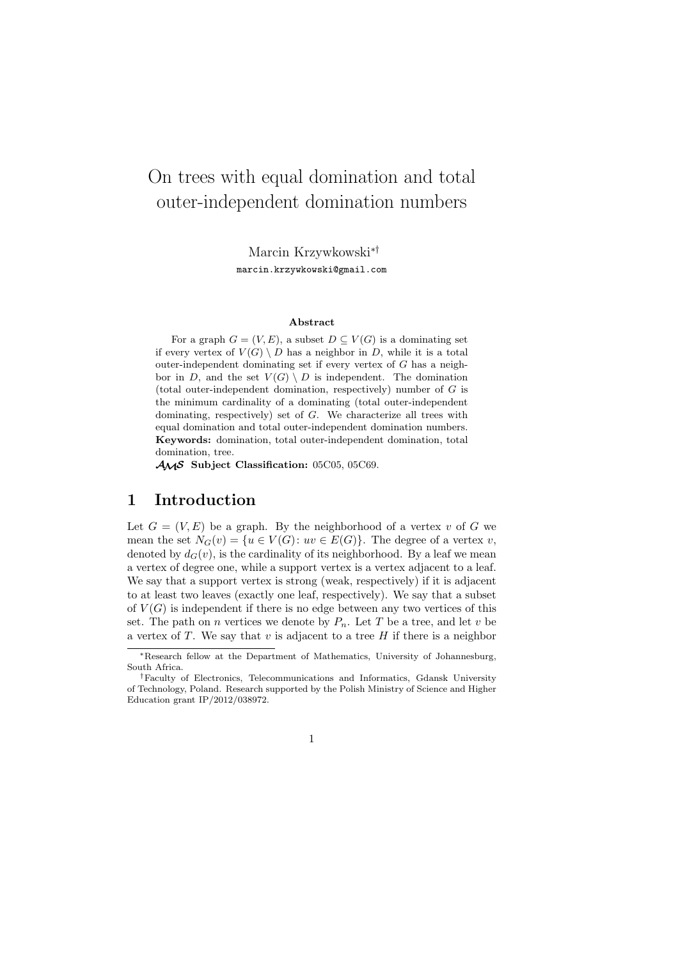# On trees with equal domination and total outer-independent domination numbers

Marcin Krzywkowski∗† marcin.krzywkowski@gmail.com

#### **Abstract**

For a graph  $G = (V, E)$ , a subset  $D \subseteq V(G)$  is a dominating set if every vertex of  $V(G) \setminus D$  has a neighbor in D, while it is a total outer-independent dominating set if every vertex of  $G$  has a neighbor in D, and the set  $V(G) \setminus D$  is independent. The domination (total outer-independent domination, respectively) number of  $G$  is the minimum cardinality of a dominating (total outer-independent dominating, respectively) set of G. We characterize all trees with equal domination and total outer-independent domination numbers. **Keywords:** domination, total outer-independent domination, total domination, tree.

AMS **Subject Classification:** 05C05, 05C69.

#### **1 Introduction**

Let  $G = (V, E)$  be a graph. By the neighborhood of a vertex v of G we mean the set  $N_G(v) = \{u \in V(G): uv \in E(G)\}\)$ . The degree of a vertex v, denoted by  $d_G(v)$ , is the cardinality of its neighborhood. By a leaf we mean a vertex of degree one, while a support vertex is a vertex adjacent to a leaf. We say that a support vertex is strong (weak, respectively) if it is adjacent to at least two leaves (exactly one leaf, respectively). We say that a subset of  $V(G)$  is independent if there is no edge between any two vertices of this set. The path on *n* vertices we denote by  $P_n$ . Let T be a tree, and let v be a vertex of  $T$ . We say that  $v$  is adjacent to a tree  $H$  if there is a neighbor

<sup>∗</sup>Research fellow at the Department of Mathematics, University of Johannesburg, South Africa.

<sup>†</sup>Faculty of Electronics, Telecommunications and Informatics, Gdansk University of Technology, Poland. Research supported by the Polish Ministry of Science and Higher Education grant IP/2012/038972.

<sup>1</sup>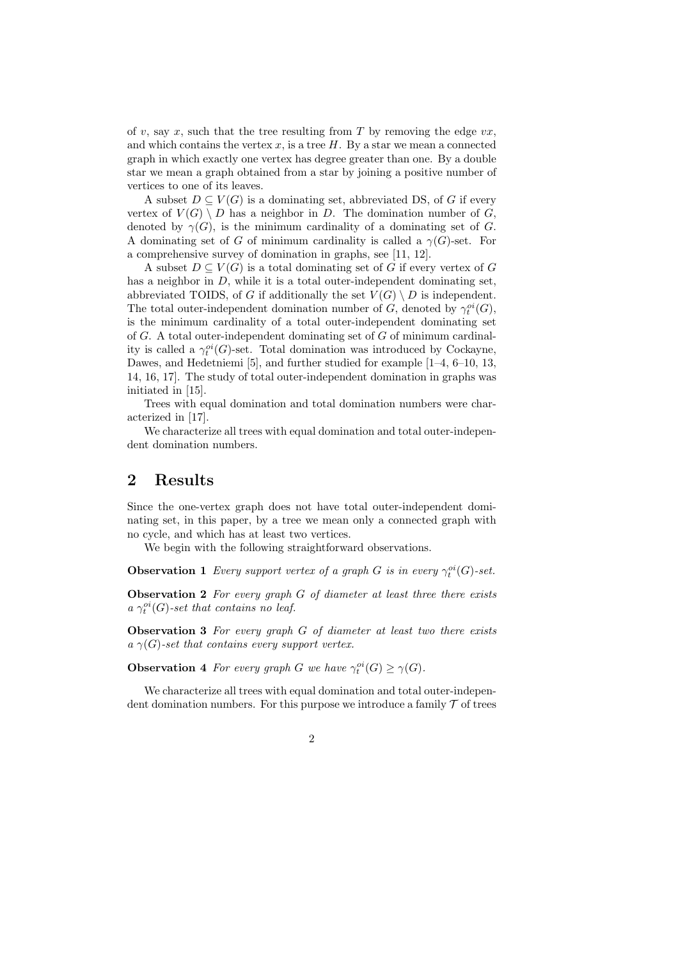of v, say x, such that the tree resulting from T by removing the edge  $vx$ , and which contains the vertex  $x$ , is a tree  $H$ . By a star we mean a connected graph in which exactly one vertex has degree greater than one. By a double star we mean a graph obtained from a star by joining a positive number of vertices to one of its leaves.

A subset  $D \subseteq V(G)$  is a dominating set, abbreviated DS, of G if every vertex of  $V(G) \setminus D$  has a neighbor in D. The domination number of G, denoted by  $\gamma(G)$ , is the minimum cardinality of a dominating set of G. A dominating set of G of minimum cardinality is called a  $\gamma(G)$ -set. For a comprehensive survey of domination in graphs, see [11, 12].

A subset  $D \subseteq V(G)$  is a total dominating set of G if every vertex of G has a neighbor in D, while it is a total outer-independent dominating set, abbreviated TOIDS, of G if additionally the set  $V(G) \setminus D$  is independent. The total outer-independent domination number of  $G$ , denoted by  $\gamma_t^{oi}(G)$ , is the minimum cardinality of a total outer-independent dominating set of  $G$ . A total outer-independent dominating set of  $G$  of minimum cardinality is called a  $\gamma_t^{oi}(G)$ -set. Total domination was introduced by Cockayne, Dawes, and Hedetniemi [5], and further studied for example [1–4, 6–10, 13, 14, 16, 17]. The study of total outer-independent domination in graphs was initiated in [15].

Trees with equal domination and total domination numbers were characterized in [17].

We characterize all trees with equal domination and total outer-independent domination numbers.

### **2 Results**

Since the one-vertex graph does not have total outer-independent dominating set, in this paper, by a tree we mean only a connected graph with no cycle, and which has at least two vertices.

We begin with the following straightforward observations.

**Observation 1** *Every support vertex of a graph* G *is in every*  $\gamma_t^{oi}(G)$ -set.

**Observation 2** *For every graph* G *of diameter at least three there exists*  $a \gamma_t^{oi}(G)$ -set that contains no leaf.

**Observation 3** *For every graph* G *of diameter at least two there exists*  $a \gamma(G)$ -set that contains every support vertex.

**Observation 4** For every graph G we have  $\gamma_t^{oi}(G) \ge \gamma(G)$ .

We characterize all trees with equal domination and total outer-independent domination numbers. For this purpose we introduce a family  $\mathcal T$  of trees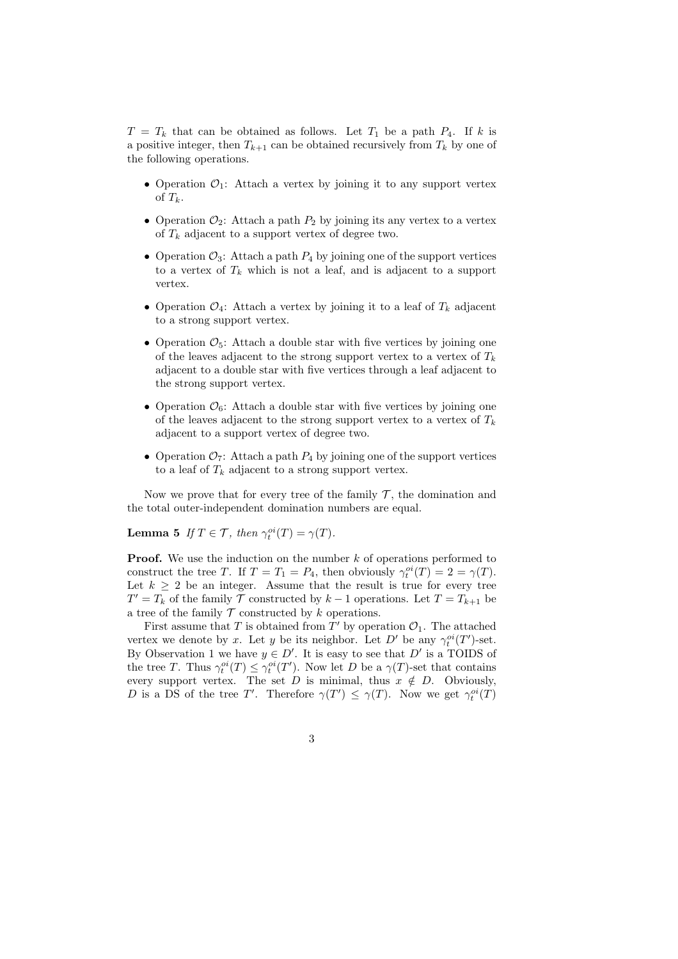$T = T_k$  that can be obtained as follows. Let  $T_1$  be a path  $P_4$ . If k is a positive integer, then  $T_{k+1}$  can be obtained recursively from  $T_k$  by one of the following operations.

- Operation  $\mathcal{O}_1$ : Attach a vertex by joining it to any support vertex of  $T_k$ .
- Operation  $\mathcal{O}_2$ : Attach a path  $P_2$  by joining its any vertex to a vertex of  $T_k$  adjacent to a support vertex of degree two.
- Operation  $\mathcal{O}_3$ : Attach a path  $P_4$  by joining one of the support vertices to a vertex of  $T_k$  which is not a leaf, and is adjacent to a support vertex.
- Operation  $\mathcal{O}_4$ : Attach a vertex by joining it to a leaf of  $T_k$  adjacent to a strong support vertex.
- Operation  $\mathcal{O}_5$ : Attach a double star with five vertices by joining one of the leaves adjacent to the strong support vertex to a vertex of  $T_k$ adjacent to a double star with five vertices through a leaf adjacent to the strong support vertex.
- Operation  $\mathcal{O}_6$ : Attach a double star with five vertices by joining one of the leaves adjacent to the strong support vertex to a vertex of  $T_k$ adjacent to a support vertex of degree two.
- Operation  $\mathcal{O}_7$ : Attach a path  $P_4$  by joining one of the support vertices to a leaf of  $T_k$  adjacent to a strong support vertex.

Now we prove that for every tree of the family  $\mathcal T$ , the domination and the total outer-independent domination numbers are equal.

**Lemma 5** *If*  $T \in \mathcal{T}$ *, then*  $\gamma_t^{oi}(T) = \gamma(T)$ *.* 

**Proof.** We use the induction on the number k of operations performed to construct the tree T. If  $T = T_1 = P_4$ , then obviously  $\gamma_t^{oi}(T) = 2 = \gamma(T)$ . Let  $k \geq 2$  be an integer. Assume that the result is true for every tree  $T' = T_k$  of the family  $\mathcal{T}$  constructed by  $k-1$  operations. Let  $T = T_{k+1}$  be a tree of the family  $\mathcal T$  constructed by k operations.

First assume that T is obtained from  $T'$  by operation  $\mathcal{O}_1$ . The attached vertex we denote by x. Let y be its neighbor. Let D' be any  $\gamma_t^{oi}(T')$ -set. By Observation 1 we have  $y \in D'$ . It is easy to see that D' is a TOIDS of the tree T. Thus  $\gamma_t^{oi}(T) \leq \gamma_t^{oi}(T')$ . Now let D be a  $\gamma(T)$ -set that contains every support vertex. The set D is minimal, thus  $x \notin D$ . Obviously, D is a DS of the tree T'. Therefore  $\gamma(T') \leq \gamma(T)$ . Now we get  $\gamma_t^{oi}(T)$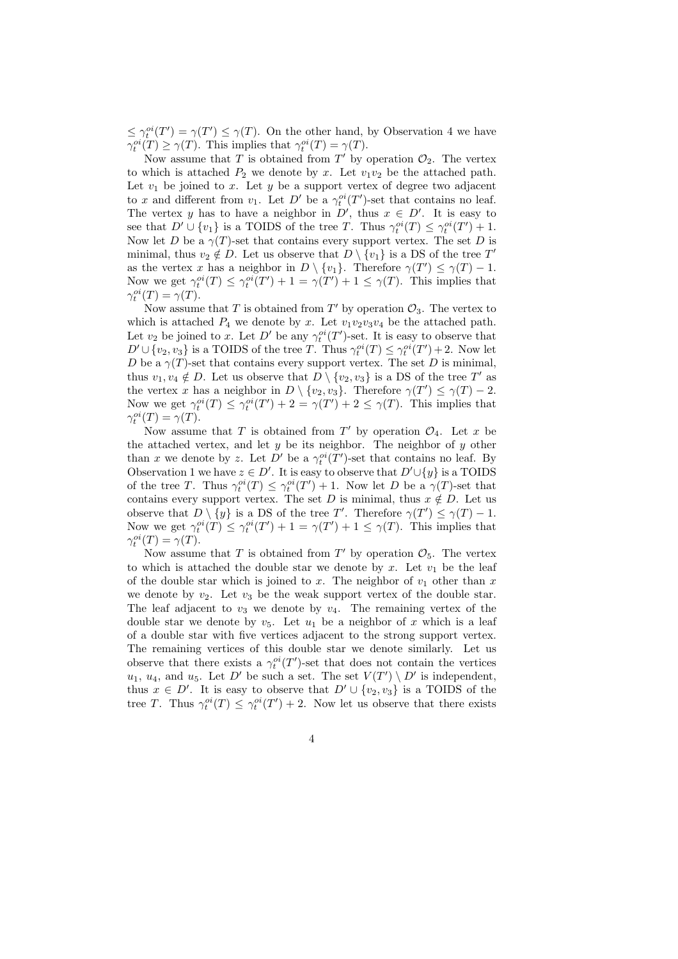$\leq \gamma_t^{oi}(T') = \gamma(T') \leq \gamma(T)$ . On the other hand, by Observation 4 we have  $\gamma_t^{oi}(T) \geq \gamma(T)$ . This implies that  $\gamma_t^{oi}(T) = \gamma(T)$ .

Now assume that T is obtained from T' by operation  $\mathcal{O}_2$ . The vertex to which is attached  $P_2$  we denote by x. Let  $v_1v_2$  be the attached path. Let  $v_1$  be joined to x. Let y be a support vertex of degree two adjacent to x and different from  $v_1$ . Let  $D'$  be a  $\gamma_t^{oi}(T')$ -set that contains no leaf. The vertex y has to have a neighbor in  $D'$ , thus  $x \in D'$ . It is easy to see that  $D' \cup \{v_1\}$  is a TOIDS of the tree T. Thus  $\gamma_t^{oi}(T) \leq \gamma_t^{oi}(T') + 1$ . Now let D be a  $\gamma(T)$ -set that contains every support vertex. The set D is minimal, thus  $v_2 \notin D$ . Let us observe that  $D \setminus \{v_1\}$  is a DS of the tree T' as the vertex x has a neighbor in  $D \setminus \{v_1\}$ . Therefore  $\gamma(T') \leq \gamma(T) - 1$ . Now we get  $\gamma_t^{oi}(T) \leq \gamma_t^{oi}(T') + 1 = \gamma(T') + 1 \leq \gamma(T)$ . This implies that  $\gamma_t^{oi}(T) = \gamma(T).$ 

Now assume that T is obtained from T' by operation  $\mathcal{O}_3$ . The vertex to which is attached  $P_4$  we denote by x. Let  $v_1v_2v_3v_4$  be the attached path. Let  $v_2$  be joined to x. Let D' be any  $\gamma_t^{oi}(T')$ -set. It is easy to observe that  $D' \cup \{v_2, v_3\}$  is a TOIDS of the tree T. Thus  $\gamma_t^{oi}(T) \leq \gamma_t^{oi}(T') + 2$ . Now let D be a  $\gamma(T)$ -set that contains every support vertex. The set D is minimal, thus  $v_1, v_4 \notin D$ . Let us observe that  $\overrightarrow{D} \setminus \{v_2, v_3\}$  is a DS of the tree T' as the vertex x has a neighbor in  $D \setminus \{v_2, v_3\}$ . Therefore  $\gamma(T') \leq \gamma(T) - 2$ . Now we get  $\gamma_t^{oi}(T) \leq \gamma_t^{oi}(T') + 2 = \gamma(T') + 2 \leq \gamma(T)$ . This implies that  $\gamma_t^{oi}(T) = \gamma(T).$ 

Now assume that T is obtained from T' by operation  $\mathcal{O}_4$ . Let x be the attached vertex, and let  $y$  be its neighbor. The neighbor of  $y$  other than x we denote by z. Let  $\tilde{D}'$  be a  $\gamma_t^{oi}(T')$ -set that contains no leaf. By Observation 1 we have  $z \in D'$ . It is easy to observe that  $D' \cup \{y\}$  is a TOIDS of the tree T. Thus  $\gamma_t^{oi}(T) \leq \gamma_t^{oi}(T') + 1$ . Now let D be a  $\gamma(T)$ -set that contains every support vertex. The set D is minimal, thus  $x \notin D$ . Let us observe that  $D \setminus \{y\}$  is a DS of the tree T'. Therefore  $\gamma(T') \leq \gamma(T) - 1$ . Now we get  $\gamma_t^{oi}(T) \leq \gamma_t^{oi}(T') + 1 = \gamma(T') + 1 \leq \gamma(T)$ . This implies that  $\gamma_t^{oi}(T) = \gamma(T).$ 

Now assume that T is obtained from T' by operation  $\mathcal{O}_5$ . The vertex to which is attached the double star we denote by x. Let  $v_1$  be the leaf of the double star which is joined to x. The neighbor of  $v_1$  other than x we denote by  $v_2$ . Let  $v_3$  be the weak support vertex of the double star. The leaf adjacent to  $v_3$  we denote by  $v_4$ . The remaining vertex of the double star we denote by  $v_5$ . Let  $u_1$  be a neighbor of x which is a leaf of a double star with five vertices adjacent to the strong support vertex. The remaining vertices of this double star we denote similarly. Let us observe that there exists a  $\gamma_t^{oi}(T')$ -set that does not contain the vertices  $u_1, u_4$ , and  $u_5$ . Let D' be such a set. The set  $V(T') \setminus D'$  is independent, thus  $x \in D'$ . It is easy to observe that  $D' \cup \{v_2, v_3\}$  is a TOIDS of the tree T. Thus  $\gamma_t^{oi}(T) \leq \gamma_t^{oi}(T') + 2$ . Now let us observe that there exists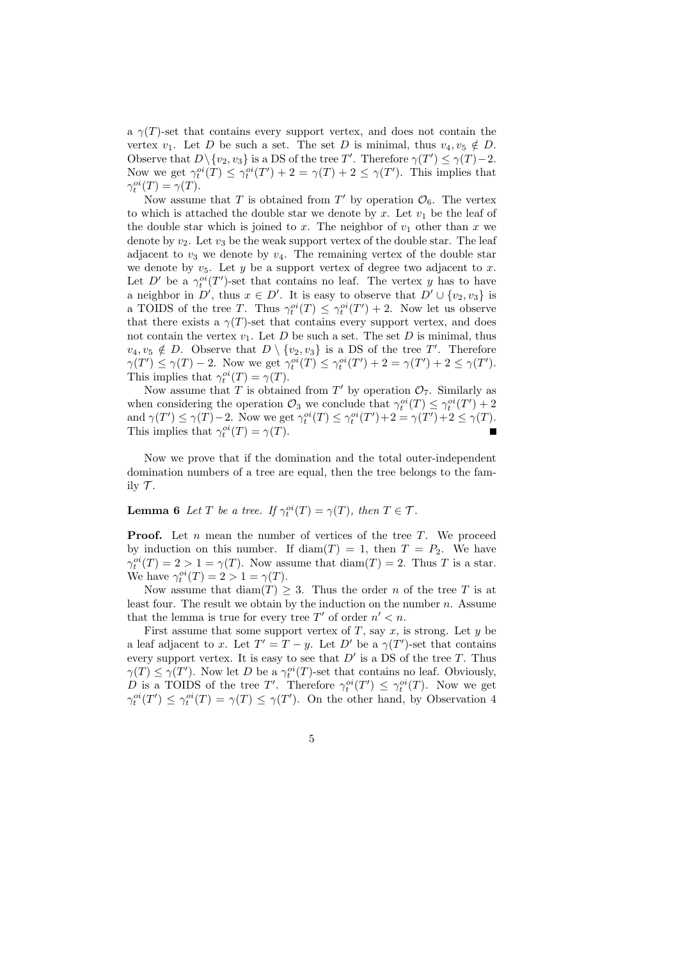a  $\gamma(T)$ -set that contains every support vertex, and does not contain the vertex  $v_1$ . Let D be such a set. The set D is minimal, thus  $v_4, v_5 \notin D$ . Observe that  $D \setminus \{v_2, v_3\}$  is a DS of the tree T'. Therefore  $\gamma(T') \leq \gamma(T) - 2$ . Now we get  $\gamma_t^{oi}(T) \leq \gamma_t^{oi}(T') + 2 = \gamma(T) + 2 \leq \gamma(T')$ . This implies that  $\gamma_t^{oi}(T) = \gamma(T).$ 

Now assume that T is obtained from T' by operation  $\mathcal{O}_6$ . The vertex to which is attached the double star we denote by x. Let  $v_1$  be the leaf of the double star which is joined to x. The neighbor of  $v_1$  other than x we denote by  $v_2$ . Let  $v_3$  be the weak support vertex of the double star. The leaf adjacent to  $v_3$  we denote by  $v_4$ . The remaining vertex of the double star we denote by  $v_5$ . Let y be a support vertex of degree two adjacent to x. Let D' be a  $\gamma_t^{oi}(T')$ -set that contains no leaf. The vertex y has to have a neighbor in  $D'$ , thus  $x \in D'$ . It is easy to observe that  $D' \cup \{v_2, v_3\}$  is a TOIDS of the tree T. Thus  $\gamma_t^{oi}(T) \leq \gamma_t^{oi}(T') + 2$ . Now let us observe that there exists a  $\gamma(T)$ -set that contains every support vertex, and does not contain the vertex  $v_1$ . Let D be such a set. The set D is minimal, thus  $v_4, v_5 \notin D$ . Observe that  $D \setminus \{v_2, v_3\}$  is a DS of the tree T'. Therefore  $\gamma(T') \leq \gamma(T) - 2$ . Now we get  $\gamma_t^{oi}(T) \leq \gamma_t^{oi}(T') + 2 = \gamma(T') + 2 \leq \gamma(T')$ . This implies that  $\gamma_t^{oi}(T) = \gamma(T)$ .

Now assume that T is obtained from T' by operation  $\mathcal{O}_7$ . Similarly as when considering the operation  $\mathcal{O}_3$  we conclude that  $\gamma_t^{oi}(T) \leq \gamma_t^{oi}(T') + 2$ and  $\gamma(T') \leq \gamma(T) - 2$ . Now we get  $\gamma_t^{oi}(T) \leq \gamma_t^{oi}(T') + 2 = \gamma(T') + 2 \leq \gamma(T)$ . This implies that  $\gamma_t^{oi}(T) = \gamma(T)$ .

Now we prove that if the domination and the total outer-independent domination numbers of a tree are equal, then the tree belongs to the family  $\mathcal T$ .

**Lemma 6** *Let*  $T$  *be a tree.* If  $\gamma_t^{oi}(T) = \gamma(T)$ *, then*  $T \in \mathcal{T}$ *.* 

**Proof.** Let *n* mean the number of vertices of the tree T. We proceed by induction on this number. If  $\text{diam}(T) = 1$ , then  $T = P_2$ . We have  $\gamma_t^{oi}(T) = 2 > 1 = \gamma(T)$ . Now assume that  $\text{diam}(T) = 2$ . Thus T is a star. We have  $\gamma_t^{oi}(T) = 2 > 1 = \gamma(T)$ .

Now assume that  $\text{diam}(T) \geq 3$ . Thus the order *n* of the tree *T* is at least four. The result we obtain by the induction on the number  $n$ . Assume that the lemma is true for every tree  $T'$  of order  $n' < n$ .

First assume that some support vertex of  $T$ , say  $x$ , is strong. Let  $y$  be a leaf adjacent to x. Let  $T' = T - y$ . Let D' be a  $\gamma(T')$ -set that contains every support vertex. It is easy to see that  $D'$  is a  $DS$  of the tree T. Thus  $\gamma(T) \leq \gamma(T')$ . Now let D be a  $\gamma_t^{oi}(T)$ -set that contains no leaf. Obviously, D is a TOIDS of the tree T'. Therefore  $\gamma_t^{oi}(T') \leq \gamma_t^{oi}(T)$ . Now we get  $\gamma_t^{oi}(T') \leq \gamma_t^{oi}(T) = \gamma(T) \leq \gamma(T')$ . On the other hand, by Observation 4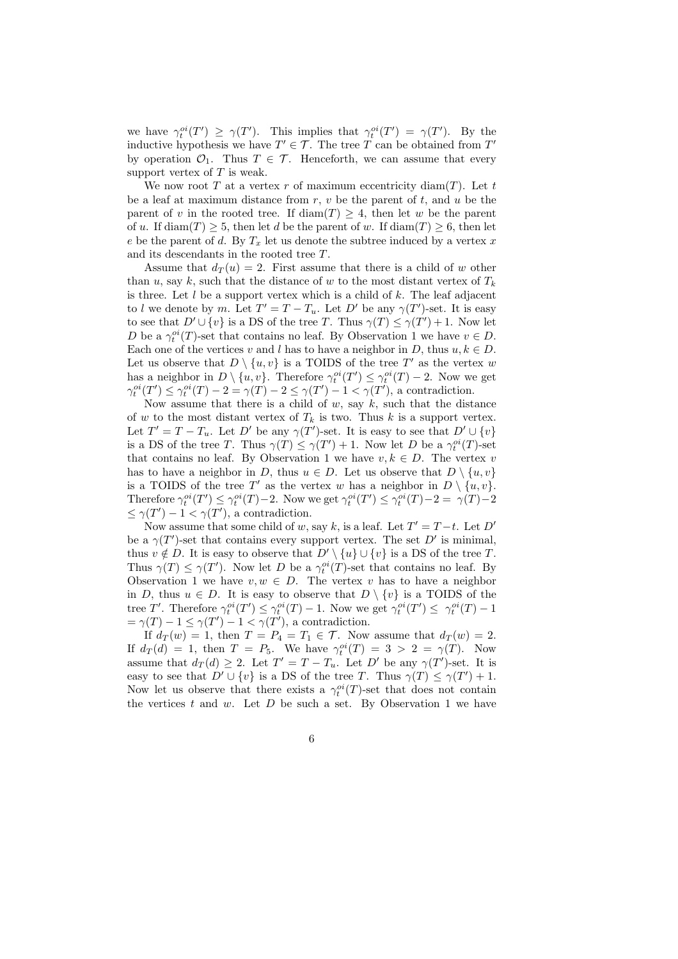we have  $\gamma_t^{oi}(T') \geq \gamma(T')$ . This implies that  $\gamma_t^{oi}(T') = \gamma(T')$ . By the inductive hypothesis we have  $T' \in \mathcal{T}$ . The tree T can be obtained from T' by operation  $\mathcal{O}_1$ . Thus  $T \in \mathcal{T}$ . Henceforth, we can assume that every support vertex of  $T$  is weak.

We now root  $T$  at a vertex  $r$  of maximum eccentricity diam( $T$ ). Let  $t$ be a leaf at maximum distance from  $r, v$  be the parent of  $t$ , and  $u$  be the parent of v in the rooted tree. If  $\text{diam}(T) \geq 4$ , then let w be the parent of u. If diam(T)  $\geq$  5, then let d be the parent of w. If diam(T)  $\geq$  6, then let e be the parent of d. By  $T_x$  let us denote the subtree induced by a vertex x and its descendants in the rooted tree T.

Assume that  $d_T(u) = 2$ . First assume that there is a child of w other than u, say k, such that the distance of w to the most distant vertex of  $T_k$ is three. Let  $l$  be a support vertex which is a child of  $k$ . The leaf adjacent to l we denote by m. Let  $T' = T - T_u$ . Let D' be any  $\gamma(T')$ -set. It is easy to see that  $D' \cup \{v\}$  is a DS of the tree T. Thus  $\gamma(T) \leq \gamma(T') + 1$ . Now let D be a  $\gamma_t^{oi}(T)$ -set that contains no leaf. By Observation 1 we have  $v \in D$ . Each one of the vertices v and l has to have a neighbor in D, thus  $u, k \in D$ . Let us observe that  $D \setminus \{u, v\}$  is a TOIDS of the tree T' as the vertex w has a neighbor in  $D \setminus \{u, v\}$ . Therefore  $\gamma_t^{oi}(T') \leq \gamma_t^{oi}(T) - 2$ . Now we get  $\gamma_t^{oi}(T') \leq \gamma_t^{oi}(T) - 2 = \gamma(T) - 2 \leq \gamma(T') - 1 < \gamma(T')$ , a contradiction.

Now assume that there is a child of  $w$ , say  $k$ , such that the distance of w to the most distant vertex of  $T_k$  is two. Thus k is a support vertex. Let  $T' = T - T_u$ . Let D' be any  $\gamma(T')$ -set. It is easy to see that  $D' \cup \{v\}$ is a DS of the tree T. Thus  $\gamma(T) \leq \gamma(T') + 1$ . Now let D be a  $\gamma_t^{oi}(T)$ -set that contains no leaf. By Observation 1 we have  $v, k \in D$ . The vertex v has to have a neighbor in D, thus  $u \in D$ . Let us observe that  $D \setminus \{u, v\}$ is a TOIDS of the tree T' as the vertex w has a neighbor in  $D \setminus \{u, v\}.$ Therefore  $\gamma_t^{oi}(T') \leq \gamma_t^{oi}(T) - 2$ . Now we get  $\gamma_t^{oi}(T') \leq \gamma_t^{oi}(T) - 2 = \gamma(T) - 2$  $\leq \gamma(T') - 1 < \gamma(T')$ , a contradiction.

Now assume that some child of w, say k, is a leaf. Let  $T' = T - t$ . Let  $D'$ be a  $\gamma(T')$ -set that contains every support vertex. The set D' is minimal, thus  $v \notin D$ . It is easy to observe that  $D' \setminus \{u\} \cup \{v\}$  is a DS of the tree T. Thus  $\gamma(T) \leq \gamma(T')$ . Now let D be a  $\gamma_t^{oi}(T)$ -set that contains no leaf. By Observation 1 we have  $v, w \in D$ . The vertex v has to have a neighbor in D, thus  $u \in D$ . It is easy to observe that  $D \setminus \{v\}$  is a TOIDS of the tree T'. Therefore  $\gamma_t^{oi}(T') \leq \gamma_t^{oi}(T) - 1$ . Now we get  $\gamma_t^{oi}(T') \leq \gamma_t^{oi}(T) - 1$  $=\gamma(T)-1\leq \gamma(T')-1<\gamma(T')$ , a contradiction.

If  $d_T(w) = 1$ , then  $T = P_4 = T_1 \in \mathcal{T}$ . Now assume that  $d_T(w) = 2$ . If  $d_T(d) = 1$ , then  $T = P_5$ . We have  $\gamma_t^{oi}(T) = 3 > 2 = \gamma(T)$ . Now assume that  $d_T(d) \geq 2$ . Let  $T' = T - T_u$ . Let  $D'$  be any  $\gamma(T')$ -set. It is easy to see that  $D' \cup \{v\}$  is a DS of the tree T. Thus  $\gamma(T) \leq \gamma(T') + 1$ . Now let us observe that there exists a  $\gamma_t^{oi}(T)$ -set that does not contain the vertices  $t$  and  $w$ . Let  $D$  be such a set. By Observation 1 we have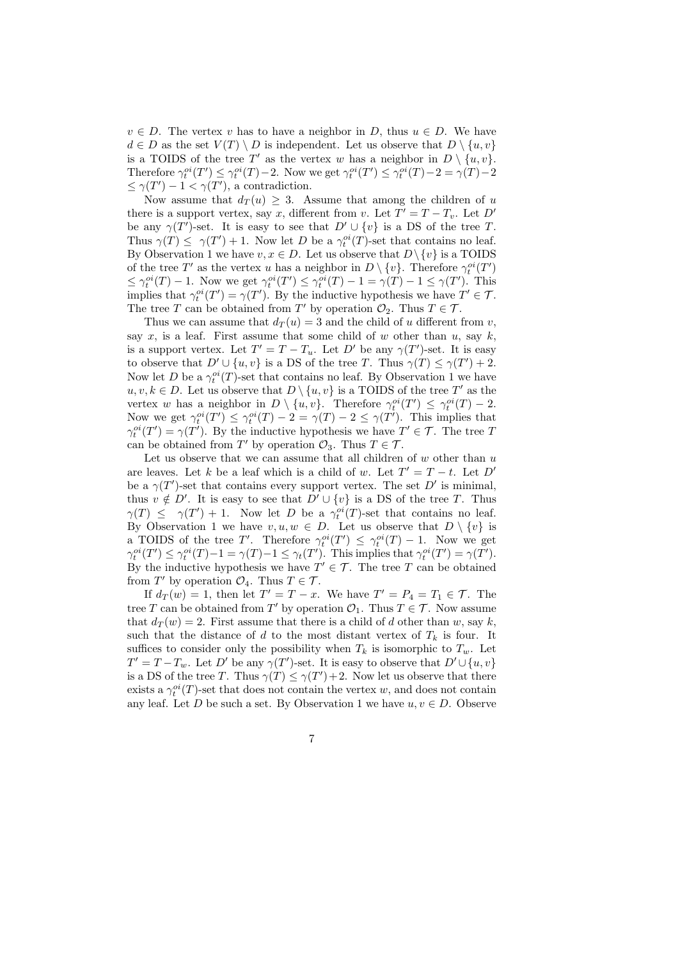$v \in D$ . The vertex v has to have a neighbor in D, thus  $u \in D$ . We have  $d \in D$  as the set  $V(T) \setminus D$  is independent. Let us observe that  $D \setminus \{u, v\}$ is a TOIDS of the tree T' as the vertex w has a neighbor in  $D \setminus \{u, v\}$ . Therefore  $\gamma_t^{oi}(T') \leq \gamma_t^{oi}(T) - 2$ . Now we get  $\gamma_t^{oi}(T') \leq \gamma_t^{oi}(T) - 2 = \gamma(T) - 2$  $\leq \gamma(T') - 1 < \gamma(T')$ , a contradiction.

Now assume that  $d_T(u) \geq 3$ . Assume that among the children of u there is a support vertex, say x, different from v. Let  $T' = T - T_v$ . Let D' be any  $\gamma(T')$ -set. It is easy to see that  $D' \cup \{v\}$  is a DS of the tree T. Thus  $\gamma(T) \leq \gamma(T') + 1$ . Now let D be a  $\gamma_t^{oi}(T)$ -set that contains no leaf. By Observation 1 we have  $v, x \in D$ . Let us observe that  $D \setminus \{v\}$  is a TOIDS of the tree T' as the vertex u has a neighbor in  $D \setminus \{v\}$ . Therefore  $\gamma_t^{oi}(T')$  $\leq \gamma_t^{oi}(T) - 1$ . Now we get  $\gamma_t^{oi}(T') \leq \gamma_t^{oi}(T) - 1 = \gamma(T) - 1 \leq \gamma(T')$ . This implies that  $\gamma_t^{oi}(T') = \gamma(T')$ . By the inductive hypothesis we have  $T' \in \mathcal{T}$ . The tree T can be obtained from T' by operation  $\mathcal{O}_2$ . Thus  $T \in \mathcal{T}$ .

Thus we can assume that  $d_T(u) = 3$  and the child of u different from v, say x, is a leaf. First assume that some child of w other than  $u$ , say  $k$ , is a support vertex. Let  $T' = T - T_u$ . Let D' be any  $\gamma(T')$ -set. It is easy to observe that  $D' \cup \{u, v\}$  is a DS of the tree T. Thus  $\gamma(T) \leq \gamma(T') + 2$ . Now let D be a  $\gamma_t^{oi}(T)$ -set that contains no leaf. By Observation 1 we have  $u, v, k \in D$ . Let us observe that  $D \setminus \{u, v\}$  is a TOIDS of the tree T' as the vertex w has a neighbor in  $D \setminus \{u, v\}$ . Therefore  $\gamma_t^{oi}(T') \leq \gamma_t^{oi}(T) - 2$ . Now we get  $\gamma_t^{oi}(T') \leq \gamma_t^{oi}(T) - 2 = \gamma(T) - 2 \leq \gamma(T')$ . This implies that  $\gamma_t^{oi}(T') = \gamma(T')$ . By the inductive hypothesis we have  $T' \in \mathcal{T}$ . The tree T can be obtained from T' by operation  $\mathcal{O}_3$ . Thus  $T \in \mathcal{T}$ .

Let us observe that we can assume that all children of  $w$  other than  $u$ are leaves. Let k be a leaf which is a child of w. Let  $T' = T - t$ . Let  $D'$ be a  $\gamma(T')$ -set that contains every support vertex. The set D' is minimal, thus  $v \notin D'$ . It is easy to see that  $D' \cup \{v\}$  is a DS of the tree T. Thus  $\gamma(T) \leq \gamma(T') + 1$ . Now let D be a  $\gamma_t^{oi}(T)$ -set that contains no leaf. By Observation 1 we have  $v, u, w \in D$ . Let us observe that  $D \setminus \{v\}$  is a TOIDS of the tree T'. Therefore  $\gamma_t^{oi}(T') \leq \gamma_t^{oi}(T) - 1$ . Now we get  $\gamma_t^{oi}(T') \leq \gamma_t^{oi}(T) - 1 = \gamma(T) - 1 \leq \gamma_t(T')$ . This implies that  $\gamma_t^{oi}(T') = \gamma(T')$ . By the inductive hypothesis we have  $T' \in \mathcal{T}$ . The tree T can be obtained from  $T'$  by operation  $\mathcal{O}_4$ . Thus  $T \in \mathcal{T}$ .

If  $d_T(w) = 1$ , then let  $T' = T - x$ . We have  $T' = P_4 = T_1 \in \mathcal{T}$ . The tree T can be obtained from T' by operation  $\mathcal{O}_1$ . Thus  $T \in \mathcal{T}$ . Now assume that  $d_T(w) = 2$ . First assume that there is a child of d other than w, say k, such that the distance of d to the most distant vertex of  $T_k$  is four. It suffices to consider only the possibility when  $T_k$  is isomorphic to  $T_w$ . Let  $T' = T - T_w$ . Let D' be any  $\gamma(T')$ -set. It is easy to observe that  $D' \cup \{u, v\}$ is a DS of the tree T. Thus  $\gamma(T) \leq \gamma(T') + 2$ . Now let us observe that there exists a  $\gamma_t^{oi}(T)$ -set that does not contain the vertex w, and does not contain any leaf. Let D be such a set. By Observation 1 we have  $u, v \in D$ . Observe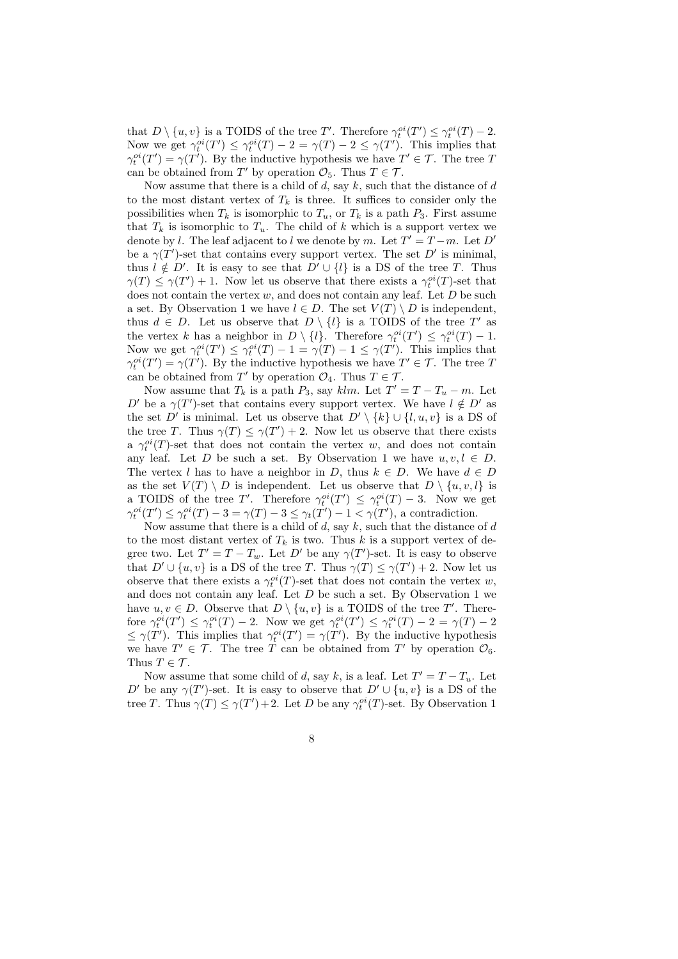that  $D \setminus \{u, v\}$  is a TOIDS of the tree T'. Therefore  $\gamma_t^{oi}(T') \leq \gamma_t^{oi}(T) - 2$ . Now we get  $\gamma_t^{oi}(T') \leq \gamma_t^{oi}(T) - 2 = \gamma(T) - 2 \leq \gamma(T')$ . This implies that  $\gamma_t^{oi}(T') = \gamma(T')$ . By the inductive hypothesis we have  $T' \in \mathcal{T}$ . The tree T can be obtained from T' by operation  $\mathcal{O}_5$ . Thus  $T \in \mathcal{T}$ .

Now assume that there is a child of  $d$ , say  $k$ , such that the distance of  $d$ to the most distant vertex of  $T_k$  is three. It suffices to consider only the possibilities when  $T_k$  is isomorphic to  $T_u$ , or  $T_k$  is a path  $P_3$ . First assume that  $T_k$  is isomorphic to  $T_u$ . The child of k which is a support vertex we denote by l. The leaf adjacent to l we denote by m. Let  $T' = T - m$ . Let  $D'$ be a  $\gamma(T')$ -set that contains every support vertex. The set D' is minimal, thus  $l \notin D'$ . It is easy to see that  $D' \cup \{l\}$  is a DS of the tree T. Thus  $\gamma(T) \leq \gamma(T') + 1$ . Now let us observe that there exists a  $\gamma_t^{oi}(T)$ -set that does not contain the vertex  $w$ , and does not contain any leaf. Let  $D$  be such a set. By Observation 1 we have  $l \in D$ . The set  $V(T) \setminus D$  is independent, thus  $d \in D$ . Let us observe that  $D \setminus \{l\}$  is a TOIDS of the tree T' as the vertex k has a neighbor in  $D \setminus \{l\}$ . Therefore  $\gamma_t^{oi}(T') \leq \gamma_t^{oi}(T) - 1$ . Now we get  $\gamma_t^{oi}(T') \leq \gamma_t^{oi}(T) - 1 = \gamma(T) - 1 \leq \gamma(T')$ . This implies that  $\gamma_t^{oi}(T') = \gamma(T')$ . By the inductive hypothesis we have  $T' \in \mathcal{T}$ . The tree T can be obtained from T' by operation  $\mathcal{O}_4$ . Thus  $T \in \mathcal{T}$ .

Now assume that  $T_k$  is a path  $P_3$ , say klm. Let  $T' = T - T_u - m$ . Let D' be a  $\gamma(T')$ -set that contains every support vertex. We have  $l \notin D'$  as the set  $D'$  is minimal. Let us observe that  $D' \setminus \{k\} \cup \{l, u, v\}$  is a DS of the tree T. Thus  $\gamma(T) \leq \gamma(T') + 2$ . Now let us observe that there exists a  $\gamma_t^{oi}(T)$ -set that does not contain the vertex w, and does not contain any leaf. Let D be such a set. By Observation 1 we have  $u, v, l \in D$ . The vertex l has to have a neighbor in D, thus  $k \in D$ . We have  $d \in D$ as the set  $V(T) \setminus D$  is independent. Let us observe that  $D \setminus \{u, v, l\}$  is a TOIDS of the tree T'. Therefore  $\gamma_t^{oi}(T') \leq \gamma_t^{oi}(T) - 3$ . Now we get  $\gamma_t^{oi}(T') \leq \gamma_t^{oi}(T) - 3 = \gamma(T) - 3 \leq \gamma_t(T') - 1 \leq \gamma(T')$ , a contradiction.

Now assume that there is a child of d, say  $k$ , such that the distance of d to the most distant vertex of  $T_k$  is two. Thus k is a support vertex of degree two. Let  $T' = T - T_w$ . Let D' be any  $\gamma(T')$ -set. It is easy to observe that  $D' \cup \{u, v\}$  is a DS of the tree T. Thus  $\gamma(T) \leq \gamma(T') + 2$ . Now let us observe that there exists a  $\gamma_t^{oi}(T)$ -set that does not contain the vertex w, and does not contain any leaf. Let  $D$  be such a set. By Observation 1 we have  $u, v \in D$ . Observe that  $D \setminus \{u, v\}$  is a TOIDS of the tree T'. Therefore  $\gamma_t^{oi}(T') \leq \gamma_t^{oi}(T) - 2$ . Now we get  $\gamma_t^{oi}(T') \leq \gamma_t^{oi}(T) - 2 = \gamma(T) - 2$  $\leq \gamma(T')$ . This implies that  $\gamma_t^{oi}(T') = \gamma(T')$ . By the inductive hypothesis we have  $T' \in \mathcal{T}$ . The tree T can be obtained from T' by operation  $\mathcal{O}_6$ . Thus  $T \in \mathcal{T}$ .

Now assume that some child of d, say k, is a leaf. Let  $T' = T - T_u$ . Let D' be any  $\gamma(T')$ -set. It is easy to observe that  $D' \cup \{u, v\}$  is a DS of the tree T. Thus  $\gamma(T) \leq \gamma(T') + 2$ . Let D be any  $\gamma_t^{oi}(T)$ -set. By Observation 1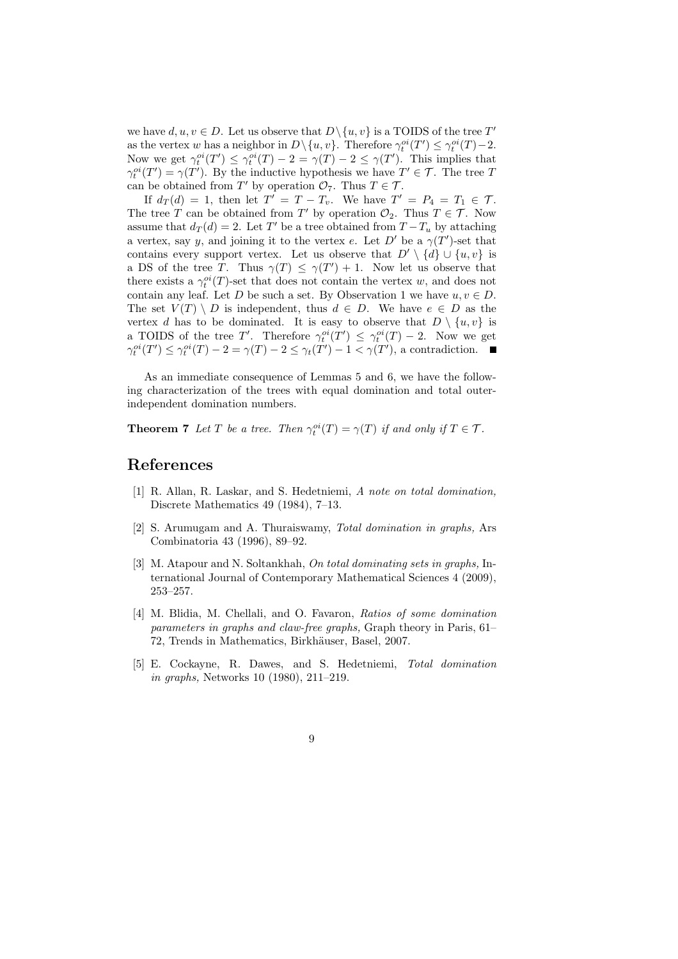we have  $d, u, v \in D$ . Let us observe that  $D \setminus \{u, v\}$  is a TOIDS of the tree  $T'$ as the vertex w has a neighbor in  $D \setminus \{u, v\}$ . Therefore  $\gamma_t^{oi}(T') \leq \gamma_t^{oi}(T) - 2$ . Now we get  $\gamma_t^{oi}(T') \leq \gamma_t^{oi}(T) - 2 = \gamma(T) - 2 \leq \gamma(T')$ . This implies that  $\gamma_t^{oi}(T') = \gamma(T')$ . By the inductive hypothesis we have  $T' \in \mathcal{T}$ . The tree T can be obtained from T' by operation  $\mathcal{O}_7$ . Thus  $T \in \mathcal{T}$ .

If  $d_T(d) = 1$ , then let  $T' = T - T_v$ . We have  $T' = P_4 = T_1 \in \mathcal{T}$ . The tree T can be obtained from T' by operation  $\mathcal{O}_2$ . Thus  $T \in \mathcal{T}$ . Now assume that  $d_T(d) = 2$ . Let T' be a tree obtained from  $T - T_u$  by attaching a vertex, say y, and joining it to the vertex e. Let D' be a  $\gamma(T')$ -set that contains every support vertex. Let us observe that  $D' \setminus \{d\} \cup \{u, v\}$  is a DS of the tree T. Thus  $\gamma(T) \leq \gamma(T') + 1$ . Now let us observe that there exists a  $\gamma_t^{oi}(T)$ -set that does not contain the vertex w, and does not contain any leaf. Let D be such a set. By Observation 1 we have  $u, v \in D$ . The set  $V(T) \setminus D$  is independent, thus  $d \in D$ . We have  $e \in D$  as the vertex d has to be dominated. It is easy to observe that  $D \setminus \{u, v\}$  is a TOIDS of the tree T'. Therefore  $\gamma_t^{oi}(T') \leq \gamma_t^{oi}(T) - 2$ . Now we get  $\gamma_t^{oi}(T') \leq \gamma_t^{oi}(T) - 2 = \gamma(T) - 2 \leq \gamma_t(T') - 1 \leq \gamma(T')$ , a contradiction.

As an immediate consequence of Lemmas 5 and 6, we have the following characterization of the trees with equal domination and total outerindependent domination numbers.

**Theorem 7** *Let*  $T$  *be a tree. Then*  $\gamma_t^{oi}(T) = \gamma(T)$  *if and only if*  $T \in \mathcal{T}$ *.* 

## **References**

- [1] R. Allan, R. Laskar, and S. Hedetniemi, *A note on total domination,* Discrete Mathematics 49 (1984), 7–13.
- [2] S. Arumugam and A. Thuraiswamy, *Total domination in graphs,* Ars Combinatoria 43 (1996), 89–92.
- [3] M. Atapour and N. Soltankhah, *On total dominating sets in graphs,* International Journal of Contemporary Mathematical Sciences 4 (2009), 253–257.
- [4] M. Blidia, M. Chellali, and O. Favaron, *Ratios of some domination parameters in graphs and claw-free graphs,* Graph theory in Paris, 61– 72, Trends in Mathematics, Birkhäuser, Basel, 2007.
- [5] E. Cockayne, R. Dawes, and S. Hedetniemi, *Total domination in graphs,* Networks 10 (1980), 211–219.